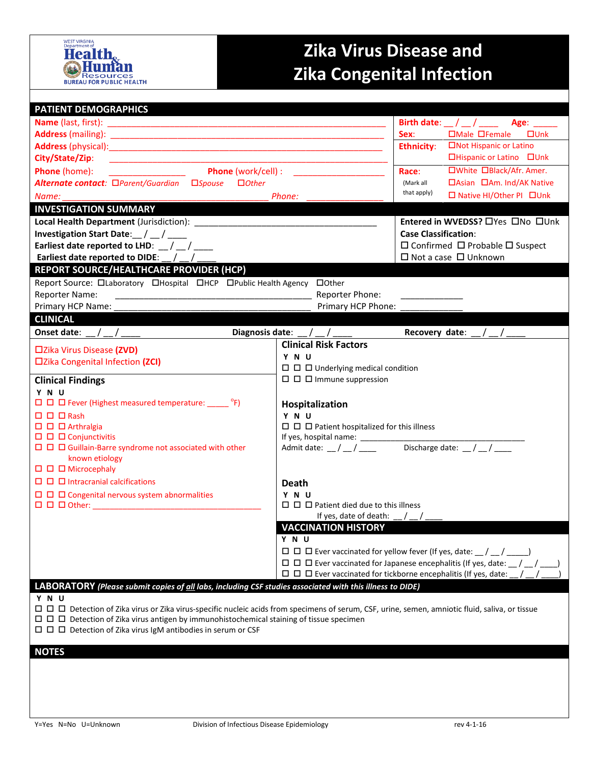

## **Zika Virus Disease and Zika Congenital Infection**

| <b>PATIENT DEMOGRAPHICS</b>                                                                                                                      |                                                                                                |                                                 |  |  |  |  |
|--------------------------------------------------------------------------------------------------------------------------------------------------|------------------------------------------------------------------------------------------------|-------------------------------------------------|--|--|--|--|
|                                                                                                                                                  | Birth date: $\frac{1}{2}$ / $\frac{1}{2}$ Age: $\frac{1}{2}$                                   |                                                 |  |  |  |  |
|                                                                                                                                                  | □Male □Female<br>$\square$ Unk<br>Sex:                                                         |                                                 |  |  |  |  |
|                                                                                                                                                  |                                                                                                | □Not Hispanic or Latino<br><b>Ethnicity:</b>    |  |  |  |  |
| City/State/Zip:<br><u> 1990 - Johann John Harry Harry Harry Harry Harry Harry Harry Harry Harry Harry Harry Harry Harry Harry Harry H</u>        |                                                                                                | □Hispanic or Latino □Unk                        |  |  |  |  |
| <b>Phone</b> (work/cell) :<br>Phone (home):                                                                                                      |                                                                                                | □White □Black/Afr. Amer.<br>Race:               |  |  |  |  |
| Alternate contact: □Parent/Guardian □Spouse<br>$\Box$ Other                                                                                      | □Asian □Am. Ind/AK Native<br>(Mark all                                                         |                                                 |  |  |  |  |
| Phone:<br>Name:                                                                                                                                  | that apply)<br>□ Native HI/Other PI □ Unk                                                      |                                                 |  |  |  |  |
| <b>INVESTIGATION SUMMARY</b>                                                                                                                     |                                                                                                |                                                 |  |  |  |  |
|                                                                                                                                                  |                                                                                                | Entered in WVEDSS? OYes ONo OUnk                |  |  |  |  |
| Investigation Start Date: $\_ / \_ / \_$                                                                                                         | <b>Case Classification:</b>                                                                    |                                                 |  |  |  |  |
| Earliest date reported to LHD: $\frac{1}{2}$ / $\frac{1}{2}$                                                                                     |                                                                                                | $\Box$ Confirmed $\Box$ Probable $\Box$ Suspect |  |  |  |  |
| Earliest date reported to DIDE: $\_\_\_\_\_$                                                                                                     |                                                                                                | $\Box$ Not a case $\Box$ Unknown                |  |  |  |  |
| <b>REPORT SOURCE/HEALTHCARE PROVIDER (HCP)</b>                                                                                                   |                                                                                                |                                                 |  |  |  |  |
| Report Source: Olaboratory OHospital OHCP OPublic Health Agency OOther                                                                           |                                                                                                |                                                 |  |  |  |  |
| <b>Reporter Name:</b>                                                                                                                            | Reporter Phone:                                                                                |                                                 |  |  |  |  |
| Primary HCP Phone:<br>Primary HCP Name:                                                                                                          |                                                                                                |                                                 |  |  |  |  |
| <b>CLINICAL</b>                                                                                                                                  |                                                                                                |                                                 |  |  |  |  |
| Onset date:                                                                                                                                      | Diagnosis date: $\frac{1}{2}$ / $\frac{1}{2}$                                                  | Recovery date: $/$ /                            |  |  |  |  |
|                                                                                                                                                  | <b>Clinical Risk Factors</b>                                                                   |                                                 |  |  |  |  |
| □Zika Virus Disease (ZVD)                                                                                                                        | Y N U                                                                                          |                                                 |  |  |  |  |
| □Zika Congenital Infection (ZCI)                                                                                                                 | $\Box$ $\Box$ $\Box$ Underlying medical condition                                              |                                                 |  |  |  |  |
| <b>Clinical Findings</b>                                                                                                                         | $\Box$ $\Box$ Immune suppression                                                               |                                                 |  |  |  |  |
| Y N U                                                                                                                                            |                                                                                                |                                                 |  |  |  |  |
| $\Box$ $\Box$ Fever (Highest measured temperature: ______ °F)                                                                                    | Hospitalization                                                                                |                                                 |  |  |  |  |
| $\Box$ $\Box$ $\Box$ Rash                                                                                                                        | Y N U                                                                                          |                                                 |  |  |  |  |
| $\square$ $\square$ $\square$ Arthralgia                                                                                                         |                                                                                                |                                                 |  |  |  |  |
| $\Box$ $\Box$ $\Box$ Conjunctivitis                                                                                                              |                                                                                                |                                                 |  |  |  |  |
| $\Box$ $\Box$ $\Box$ Guillain-Barre syndrome not associated with other<br>known etiology                                                         | Discharge date: $\frac{1}{2}$ / $\frac{1}{2}$<br>Admit date: $\frac{\ }{\ }$ / $\frac{\ }{\ }$ |                                                 |  |  |  |  |
| $\Box$ $\Box$ $\Box$ Microcephaly                                                                                                                |                                                                                                |                                                 |  |  |  |  |
| $\Box$ $\Box$ Intracranial calcifications                                                                                                        |                                                                                                |                                                 |  |  |  |  |
| $\Box$ $\Box$ $\Box$ Congenital nervous system abnormalities                                                                                     | <b>Death</b>                                                                                   |                                                 |  |  |  |  |
|                                                                                                                                                  | Y N U<br>$\Box$ $\Box$ Patient died due to this illness                                        |                                                 |  |  |  |  |
|                                                                                                                                                  | If yes, date of death: $\angle$ / $\angle$                                                     |                                                 |  |  |  |  |
| <b>VACCINATION HISTORY</b>                                                                                                                       |                                                                                                |                                                 |  |  |  |  |
|                                                                                                                                                  | Y N U                                                                                          |                                                 |  |  |  |  |
|                                                                                                                                                  | $\Box$ $\Box$ Ever vaccinated for yellow fever (If yes, date: $\Box$ / $\Box$ /                |                                                 |  |  |  |  |
|                                                                                                                                                  | $\Box$ $\Box$ Ever vaccinated for Japanese encephalitis (If yes, date: $\Box$                  |                                                 |  |  |  |  |
| $\Box$ $\Box$ Ever vaccinated for tickborne encephalitis (If yes, date:                                                                          |                                                                                                |                                                 |  |  |  |  |
| LABORATORY (Please submit copies of all labs, including CSF studies associated with this illness to DIDE)                                        |                                                                                                |                                                 |  |  |  |  |
| Y N U                                                                                                                                            |                                                                                                |                                                 |  |  |  |  |
| □ □ □ Detection of Zika virus or Zika virus-specific nucleic acids from specimens of serum, CSF, urine, semen, amniotic fluid, saliva, or tissue |                                                                                                |                                                 |  |  |  |  |
| $\Box$ $\Box$ Detection of Zika virus antigen by immunohistochemical staining of tissue specimen                                                 |                                                                                                |                                                 |  |  |  |  |
| $\Box$ $\Box$ Detection of Zika virus IgM antibodies in serum or CSF                                                                             |                                                                                                |                                                 |  |  |  |  |
| <b>NOTES</b>                                                                                                                                     |                                                                                                |                                                 |  |  |  |  |
|                                                                                                                                                  |                                                                                                |                                                 |  |  |  |  |
|                                                                                                                                                  |                                                                                                |                                                 |  |  |  |  |
|                                                                                                                                                  |                                                                                                |                                                 |  |  |  |  |
|                                                                                                                                                  |                                                                                                |                                                 |  |  |  |  |
|                                                                                                                                                  |                                                                                                |                                                 |  |  |  |  |